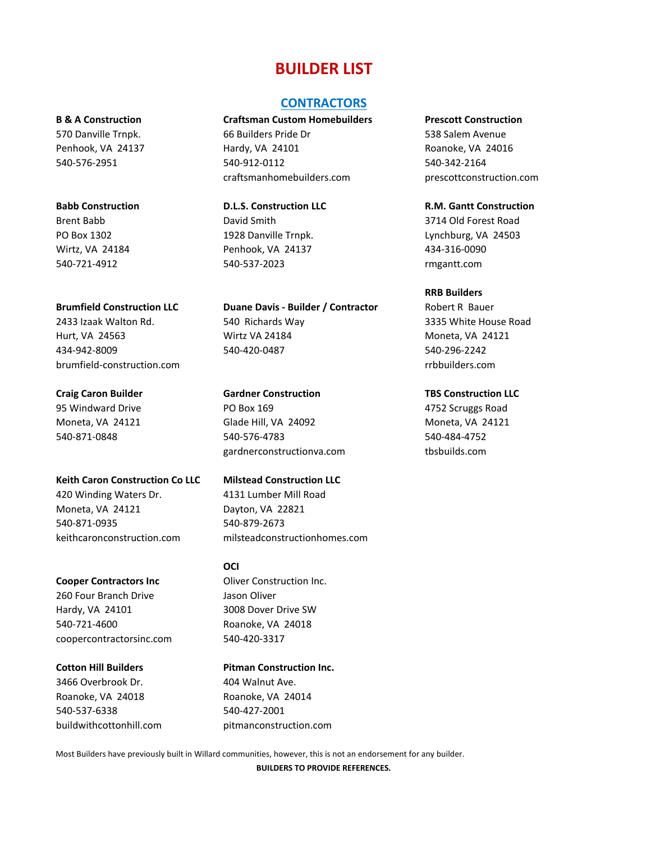# **BUILDER LIST**

### **CONTRACTORS**

**B & A Construction Craftsman Custom Homebuilders Prescott Construction**

570 Danville Trnpk. 66 Builders Pride Dr 538 Salem Avenue Penhook, VA 24137 **Hardy, VA 24101 Hardy, VA 24101 Roanoke, VA 24016** 540-576-2951 [540-912-0112](https://www.google.com/search?q=craftsman+home+builders+hardy&rlz=1C1CHBF_enUS856US856&oq=craftsman+home+builders+hardy&aqs=chrome..69i57j0i22i30.9198j0j7&sourceid=chrome&ie=UTF-8) 540-342-2164 craftsmanhomebuilders.com prescottconstruction.com

Brent Babb David Smith 3714 Old Forest Road PO Box 1302 1928 Danville Trnpk. Lynchburg, VA 24503 Wirtz, VA 24184 Penhook, VA 24137 434-316-0090 540-721-4912 540-537-2023 rmgantt.com

**Brumfield Construction LLC Duane Davis - Builder / Contractor** Robert R Bauer 2433 Izaak Walton Rd. 540 Richards Way 3335 White House Road Hurt, VA 24563 Wirtz VA 24184 Moneta, VA 24121 434-942-8009 540-420-0487 540-296-2242

**Craig Caron Builder Gardner Construction TBS Construction LLC** 95 Windward Drive PO Box 169 4752 Scruggs Road Moneta, VA 24121 Glade Hill, VA 24092 Moneta, VA 24121 540-871-0848 540-576-4783 540-484-4752 gardnerconstructionva.com tbsbuilds.com

keithcaronconstruction.com milsteadconstructionhomes.com

**OCI**

buildwithcottonhill.com pitmanconstruction.com

Most Builders have previously built in Willard communities, however, this is not an endorsement for any builder.

**BUILDERS TO PROVIDE REFERENCES.**

**Babb Construction D.L.S. Construction LLC R.M. Gantt Construction**

### **RRB Builders**

brumfield-construction.com rrbbuilders.com

**Keith Caron Construction Co LLC Milstead Construction LLC** 420 Winding Waters Dr. 4131 Lumber Mill Road Moneta, VA 24121 Dayton, VA 22821 540-871-0935 540-879-2673

**Cooper Contractors Inc. Cooper Contractors Inc.** 260 Four Branch Drive Jason Oliver Hardy, VA 24101 3008 Dover Drive SW 540-721-4600 Roanoke, VA 24018 coopercontractorsinc.com 540-420-3317

**Cotton Hill Builders Pitman Construction Inc.** 3466 Overbrook Dr. 1990 104 Walnut Ave. Roanoke, VA 24018 Roanoke, VA 24014 540-537-6338 540-427-2001